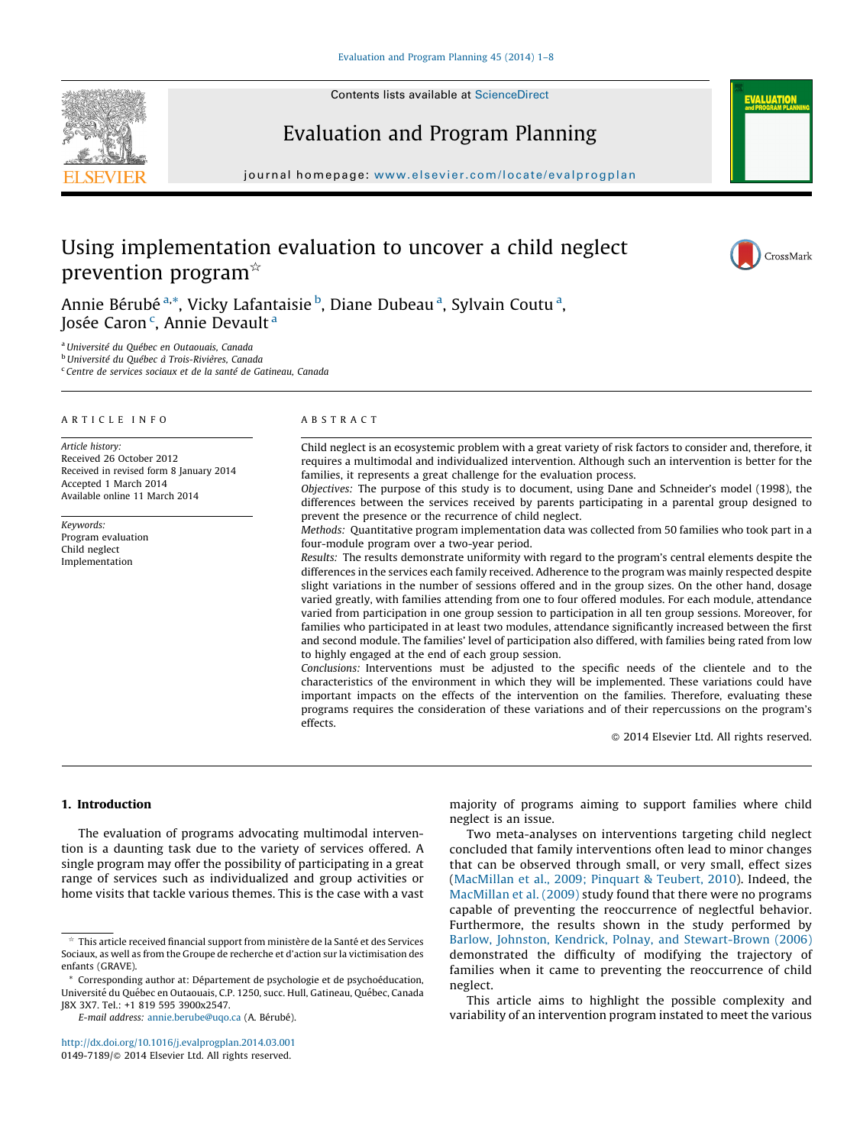

Contents lists available at [ScienceDirect](http://www.sciencedirect.com/science/journal/01497189)

### Evaluation and Program Planning

journal homepage: www.elsevier.com/locate/evalprogplan

## Using implementation evaluation to uncover a child neglect prevention program $\mathbb{R}$



Annie Bérubé <sup>a,\*</sup>, Vicky Lafantaisie <sup>b</sup>, Diane Dubeau <sup>a</sup>, Sylvain Coutu <sup>a</sup>, Josée Caron<sup>c</sup>, Annie Devault <sup>a</sup>

<sup>a</sup> Université du Québec en Outaouais, Canada

<sup>b</sup> Université du Québec à Trois-Rivières, Canada

<sup>c</sup> Centre de services sociaux et de la santé de Gatineau, Canada

#### A R T I C L E I N F O

Article history: Received 26 October 2012 Received in revised form 8 January 2014 Accepted 1 March 2014 Available online 11 March 2014

Keywords: Program evaluation Child neglect Implementation

#### A B S T R A C T

Child neglect is an ecosystemic problem with a great variety of risk factors to consider and, therefore, it requires a multimodal and individualized intervention. Although such an intervention is better for the families, it represents a great challenge for the evaluation process.

Objectives: The purpose of this study is to document, using Dane and Schneider's model (1998), the differences between the services received by parents participating in a parental group designed to prevent the presence or the recurrence of child neglect.

Methods: Quantitative program implementation data was collected from 50 families who took part in a four-module program over a two-year period.

Results: The results demonstrate uniformity with regard to the program's central elements despite the differences in the services each family received. Adherence to the program was mainly respected despite slight variations in the number of sessions offered and in the group sizes. On the other hand, dosage varied greatly, with families attending from one to four offered modules. For each module, attendance varied from participation in one group session to participation in all ten group sessions. Moreover, for families who participated in at least two modules, attendance significantly increased between the first and second module. The families' level of participation also differed, with families being rated from low to highly engaged at the end of each group session.

Conclusions: Interventions must be adjusted to the specific needs of the clientele and to the characteristics of the environment in which they will be implemented. These variations could have important impacts on the effects of the intervention on the families. Therefore, evaluating these programs requires the consideration of these variations and of their repercussions on the program's effects.

- 2014 Elsevier Ltd. All rights reserved.

#### 1. Introduction

The evaluation of programs advocating multimodal intervention is a daunting task due to the variety of services offered. A single program may offer the possibility of participating in a great range of services such as individualized and group activities or home visits that tackle various themes. This is the case with a vast

E-mail address: [annie.berube@uqo.ca](mailto:annie.berube@uqo.ca) (A. Bérubé).

<http://dx.doi.org/10.1016/j.evalprogplan.2014.03.001> 0149-7189/© 2014 Elsevier Ltd. All rights reserved.

majority of programs aiming to support families where child neglect is an issue.

Two meta-analyses on interventions targeting child neglect concluded that family interventions often lead to minor changes that can be observed through small, or very small, effect sizes ([MacMillan](#page--1-0) et al., 2009; Pinquart & Teubert, 2010). Indeed, the [MacMillan](#page--1-0) et al. (2009) study found that there were no programs capable of preventing the reoccurrence of neglectful behavior. Furthermore, the results shown in the study performed by Barlow, Johnston, Kendrick, Polnay, and [Stewart-Brown](#page--1-0) (2006) demonstrated the difficulty of modifying the trajectory of families when it came to preventing the reoccurrence of child neglect.

This article aims to highlight the possible complexity and variability of an intervention program instated to meet the various

This article received financial support from ministère de la Santé et des Services Sociaux, as well as from the Groupe de recherche et d'action sur la victimisation des enfants (GRAVE).

Corresponding author at: Département de psychologie et de psychoéducation, Université du Québec en Outaouais, C.P. 1250, succ. Hull, Gatineau, Québec, Canada J8X 3X7. Tel.: +1 819 595 3900x2547.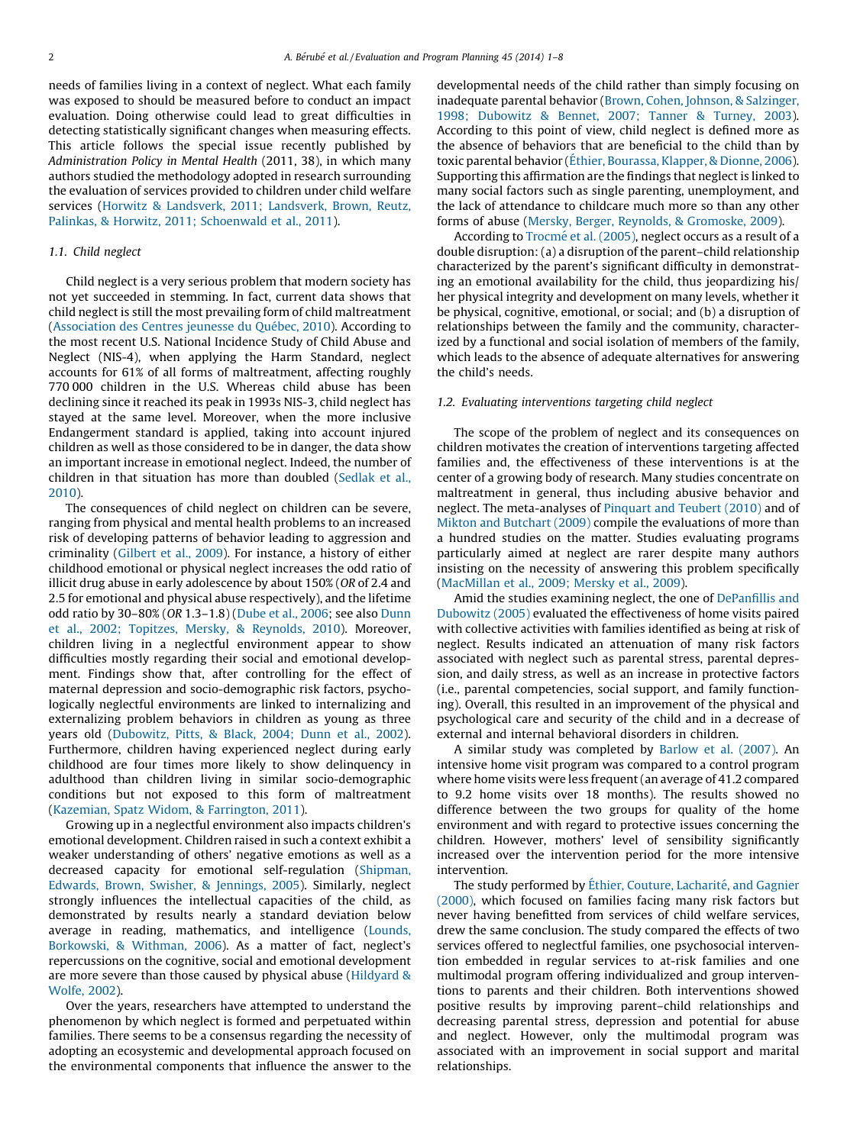needs of families living in a context of neglect. What each family was exposed to should be measured before to conduct an impact evaluation. Doing otherwise could lead to great difficulties in detecting statistically significant changes when measuring effects. This article follows the special issue recently published by Administration Policy in Mental Health (2011, 38), in which many authors studied the methodology adopted in research surrounding the evaluation of services provided to children under child welfare services (Horwitz & [Landsverk,](#page--1-0) 2011; Landsverk, Brown, Reutz, Palinkas, & Horwitz, 2011; [Schoenwald](#page--1-0) et al., 2011).

#### 1.1. Child neglect

Child neglect is a very serious problem that modern society has not yet succeeded in stemming. In fact, current data shows that child neglect is still the most prevailing form of child maltreatment ([Association](#page--1-0) des Centres jeunesse du Québec, 2010). According to the most recent U.S. National Incidence Study of Child Abuse and Neglect (NIS-4), when applying the Harm Standard, neglect accounts for 61% of all forms of maltreatment, affecting roughly 770 000 children in the U.S. Whereas child abuse has been declining since it reached its peak in 1993s NIS-3, child neglect has stayed at the same level. Moreover, when the more inclusive Endangerment standard is applied, taking into account injured children as well as those considered to be in danger, the data show an important increase in emotional neglect. Indeed, the number of children in that situation has more than doubled ([Sedlak](#page--1-0) et al., [2010\)](#page--1-0).

The consequences of child neglect on children can be severe, ranging from physical and mental health problems to an increased risk of developing patterns of behavior leading to aggression and criminality ([Gilbert](#page--1-0) et al., 2009). For instance, a history of either childhood emotional or physical neglect increases the odd ratio of illicit drug abuse in early adolescence by about 150% (OR of 2.4 and 2.5 for emotional and physical abuse respectively), and the lifetime odd ratio by 30–80% (OR 1.3–1.8) [\(Dube](#page--1-0) et al., 2006; see also [Dunn](#page--1-0) et al., 2002; Topitzes, Mersky, & [Reynolds,](#page--1-0) 2010). Moreover, children living in a neglectful environment appear to show difficulties mostly regarding their social and emotional development. Findings show that, after controlling for the effect of maternal depression and socio-demographic risk factors, psychologically neglectful environments are linked to internalizing and externalizing problem behaviors in children as young as three years old ([Dubowitz,](#page--1-0) Pitts, & Black, 2004; Dunn et al., 2002). Furthermore, children having experienced neglect during early childhood are four times more likely to show delinquency in adulthood than children living in similar socio-demographic conditions but not exposed to this form of maltreatment (Kazemian, Spatz Widom, & [Farrington,](#page--1-0) 2011).

Growing up in a neglectful environment also impacts children's emotional development. Children raised in such a context exhibit a weaker understanding of others' negative emotions as well as a decreased capacity for emotional self-regulation [\(Shipman,](#page--1-0) [Edwards,](#page--1-0) Brown, Swisher, & Jennings, 2005). Similarly, neglect strongly influences the intellectual capacities of the child, as demonstrated by results nearly a standard deviation below average in reading, mathematics, and intelligence [\(Lounds,](#page--1-0) [Borkowski,](#page--1-0) & Withman, 2006). As a matter of fact, neglect's repercussions on the cognitive, social and emotional development are more severe than those caused by physical abuse [\(Hildyard](#page--1-0) & [Wolfe,](#page--1-0) 2002).

Over the years, researchers have attempted to understand the phenomenon by which neglect is formed and perpetuated within families. There seems to be a consensus regarding the necessity of adopting an ecosystemic and developmental approach focused on the environmental components that influence the answer to the

developmental needs of the child rather than simply focusing on inadequate parental behavior (Brown, Cohen, Johnson, & [Salzinger,](#page--1-0) 1998; [Dubowitz](#page--1-0) & Bennet, 2007; Tanner & Turney, 2003). According to this point of view, child neglect is defined more as the absence of behaviors that are beneficial to the child than by toxic parental behavior (Éthier, [Bourassa,](#page--1-0) Klapper, & Dionne, 2006). Supporting this affirmation are the findings that neglect is linked to many social factors such as single parenting, unemployment, and the lack of attendance to childcare much more so than any other forms of abuse (Mersky, Berger, Reynolds, & [Gromoske,](#page--1-0) 2009).

According to Trocmé et al. (2005), neglect occurs as a result of a double disruption: (a) a disruption of the parent–child relationship characterized by the parent's significant difficulty in demonstrating an emotional availability for the child, thus jeopardizing his/ her physical integrity and development on many levels, whether it be physical, cognitive, emotional, or social; and (b) a disruption of relationships between the family and the community, characterized by a functional and social isolation of members of the family, which leads to the absence of adequate alternatives for answering the child's needs.

#### 1.2. Evaluating interventions targeting child neglect

The scope of the problem of neglect and its consequences on children motivates the creation of interventions targeting affected families and, the effectiveness of these interventions is at the center of a growing body of research. Many studies concentrate on maltreatment in general, thus including abusive behavior and neglect. The meta-analyses of [Pinquart](#page--1-0) and Teubert (2010) and of Mikton and [Butchart](#page--1-0) (2009) compile the evaluations of more than a hundred studies on the matter. Studies evaluating programs particularly aimed at neglect are rarer despite many authors insisting on the necessity of answering this problem specifically ([MacMillan](#page--1-0) et al., 2009; Mersky et al., 2009).

Amid the studies examining neglect, the one of [DePanfillis](#page--1-0) and [Dubowitz](#page--1-0) (2005) evaluated the effectiveness of home visits paired with collective activities with families identified as being at risk of neglect. Results indicated an attenuation of many risk factors associated with neglect such as parental stress, parental depression, and daily stress, as well as an increase in protective factors (i.e., parental competencies, social support, and family functioning). Overall, this resulted in an improvement of the physical and psychological care and security of the child and in a decrease of external and internal behavioral disorders in children.

A similar study was completed by [Barlow](#page--1-0) et al. (2007). An intensive home visit program was compared to a control program where home visits were less frequent(an average of 41.2 compared to 9.2 home visits over 18 months). The results showed no difference between the two groups for quality of the home environment and with regard to protective issues concerning the children. However, mothers' level of sensibility significantly increased over the intervention period for the more intensive intervention.

The study performed by Éthier, Couture, Lacharité, and Gagnier [\(2000\),](#page--1-0) which focused on families facing many risk factors but never having benefitted from services of child welfare services, drew the same conclusion. The study compared the effects of two services offered to neglectful families, one psychosocial intervention embedded in regular services to at-risk families and one multimodal program offering individualized and group interventions to parents and their children. Both interventions showed positive results by improving parent–child relationships and decreasing parental stress, depression and potential for abuse and neglect. However, only the multimodal program was associated with an improvement in social support and marital relationships.